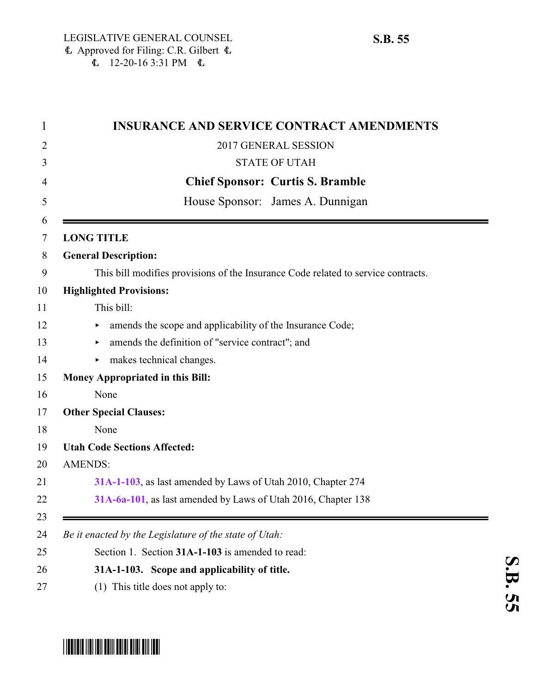|                   | <b>INSURANCE AND SERVICE CONTRACT AMENDMENTS</b>                                  |
|-------------------|-----------------------------------------------------------------------------------|
|                   | 2017 GENERAL SESSION                                                              |
|                   | <b>STATE OF UTAH</b>                                                              |
|                   | <b>Chief Sponsor: Curtis S. Bramble</b>                                           |
|                   | House Sponsor: James A. Dunnigan                                                  |
| <b>LONG TITLE</b> |                                                                                   |
|                   | <b>General Description:</b>                                                       |
|                   | This bill modifies provisions of the Insurance Code related to service contracts. |
|                   | <b>Highlighted Provisions:</b>                                                    |
|                   | This bill:                                                                        |
|                   | amends the scope and applicability of the Insurance Code;<br>Þ.                   |
|                   | amends the definition of "service contract"; and<br>▶                             |
|                   | makes technical changes.<br>Þ.                                                    |
|                   | Money Appropriated in this Bill:                                                  |
|                   | None                                                                              |
|                   | <b>Other Special Clauses:</b>                                                     |
|                   | None                                                                              |
|                   | <b>Utah Code Sections Affected:</b>                                               |
| <b>AMENDS:</b>    |                                                                                   |
|                   | 31A-1-103, as last amended by Laws of Utah 2010, Chapter 274                      |
|                   | 31A-6a-101, as last amended by Laws of Utah 2016, Chapter 138                     |
|                   | Be it enacted by the Legislature of the state of Utah:                            |
|                   | Section 1. Section 31A-1-103 is amended to read:                                  |
|                   | 31A-1-103. Scope and applicability of title.                                      |
|                   | (1) This title does not apply to:                                                 |

# <span id="page-0-0"></span>\*SB0055\*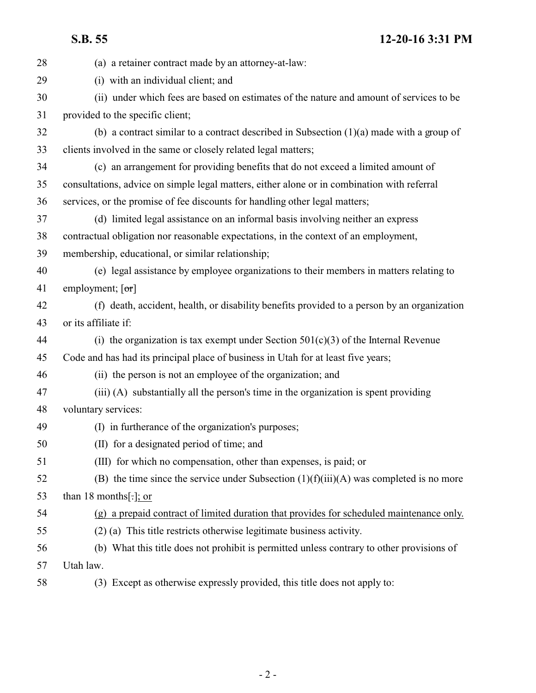**S.B. 55 12-20-16 3:31 PM**

| 28 | (a) a retainer contract made by an attorney-at-law:                                         |
|----|---------------------------------------------------------------------------------------------|
| 29 | (i) with an individual client; and                                                          |
| 30 | (ii) under which fees are based on estimates of the nature and amount of services to be     |
| 31 | provided to the specific client;                                                            |
| 32 | (b) a contract similar to a contract described in Subsection $(1)(a)$ made with a group of  |
| 33 | clients involved in the same or closely related legal matters;                              |
| 34 | (c) an arrangement for providing benefits that do not exceed a limited amount of            |
| 35 | consultations, advice on simple legal matters, either alone or in combination with referral |
| 36 | services, or the promise of fee discounts for handling other legal matters;                 |
| 37 | (d) limited legal assistance on an informal basis involving neither an express              |
| 38 | contractual obligation nor reasonable expectations, in the context of an employment,        |
| 39 | membership, educational, or similar relationship;                                           |
| 40 | (e) legal assistance by employee organizations to their members in matters relating to      |
| 41 | employment; $[\sigma r]$                                                                    |
| 42 | (f) death, accident, health, or disability benefits provided to a person by an organization |
| 43 | or its affiliate if:                                                                        |
| 44 | (i) the organization is tax exempt under Section $501(c)(3)$ of the Internal Revenue        |
| 45 | Code and has had its principal place of business in Utah for at least five years;           |
| 46 | (ii) the person is not an employee of the organization; and                                 |
| 47 | (iii) (A) substantially all the person's time in the organization is spent providing        |
| 48 | voluntary services:                                                                         |
| 49 | (I) in furtherance of the organization's purposes;                                          |
| 50 | (II) for a designated period of time; and                                                   |
| 51 | (III) for which no compensation, other than expenses, is paid; or                           |
| 52 | (B) the time since the service under Subsection $(1)(f(iii))(A)$ was completed is no more   |
| 53 | than 18 months[ $\frac{1}{2}$ ]; or                                                         |
| 54 | (g) a prepaid contract of limited duration that provides for scheduled maintenance only.    |
| 55 | (2) (a) This title restricts otherwise legitimate business activity.                        |
| 56 | (b) What this title does not prohibit is permitted unless contrary to other provisions of   |
| 57 | Utah law.                                                                                   |
| 58 | (3) Except as otherwise expressly provided, this title does not apply to:                   |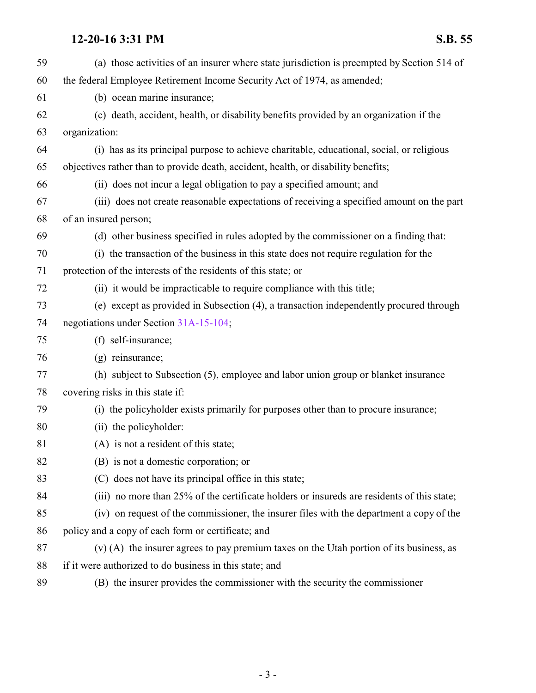| 59 | (a) those activities of an insurer where state jurisdiction is preempted by Section 514 of |
|----|--------------------------------------------------------------------------------------------|
| 60 | the federal Employee Retirement Income Security Act of 1974, as amended;                   |
| 61 | (b) ocean marine insurance;                                                                |
| 62 | (c) death, accident, health, or disability benefits provided by an organization if the     |
| 63 | organization:                                                                              |
| 64 | (i) has as its principal purpose to achieve charitable, educational, social, or religious  |
| 65 | objectives rather than to provide death, accident, health, or disability benefits;         |
| 66 | (ii) does not incur a legal obligation to pay a specified amount; and                      |
| 67 | (iii) does not create reasonable expectations of receiving a specified amount on the part  |
| 68 | of an insured person;                                                                      |
| 69 | (d) other business specified in rules adopted by the commissioner on a finding that:       |
| 70 | (i) the transaction of the business in this state does not require regulation for the      |
| 71 | protection of the interests of the residents of this state; or                             |
| 72 | (ii) it would be impracticable to require compliance with this title;                      |
| 73 | (e) except as provided in Subsection (4), a transaction independently procured through     |
| 74 | negotiations under Section 31A-15-104;                                                     |
| 75 | (f) self-insurance;                                                                        |
| 76 | $(g)$ reinsurance;                                                                         |
| 77 | (h) subject to Subsection (5), employee and labor union group or blanket insurance         |
| 78 | covering risks in this state if:                                                           |
| 79 | (i) the policyholder exists primarily for purposes other than to procure insurance;        |
| 80 | (ii) the policyholder:                                                                     |
| 81 | (A) is not a resident of this state;                                                       |
| 82 | (B) is not a domestic corporation; or                                                      |
| 83 | (C) does not have its principal office in this state;                                      |
| 84 | (iii) no more than 25% of the certificate holders or insureds are residents of this state; |
| 85 | (iv) on request of the commissioner, the insurer files with the department a copy of the   |
| 86 | policy and a copy of each form or certificate; and                                         |
| 87 | $(v)$ (A) the insurer agrees to pay premium taxes on the Utah portion of its business, as  |
| 88 | if it were authorized to do business in this state; and                                    |
| 89 | (B) the insurer provides the commissioner with the security the commissioner               |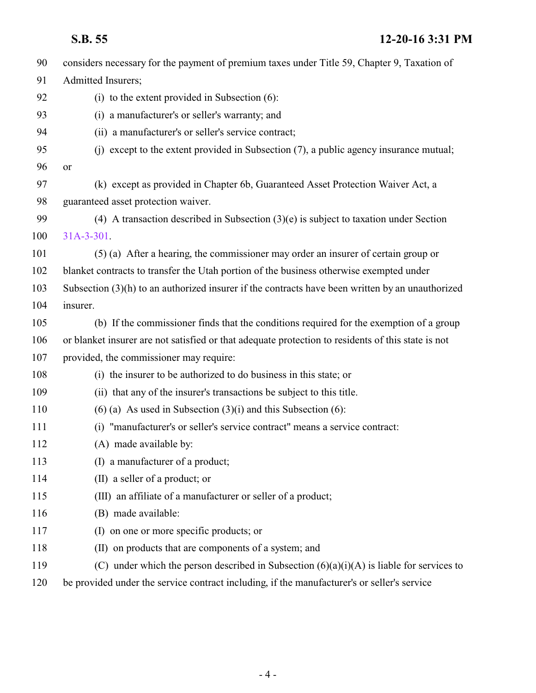| 90  | considers necessary for the payment of premium taxes under Title 59, Chapter 9, Taxation of        |
|-----|----------------------------------------------------------------------------------------------------|
| 91  | Admitted Insurers;                                                                                 |
| 92  | (i) to the extent provided in Subsection $(6)$ :                                                   |
| 93  | (i) a manufacturer's or seller's warranty; and                                                     |
| 94  | (ii) a manufacturer's or seller's service contract;                                                |
| 95  | (j) except to the extent provided in Subsection (7), a public agency insurance mutual;             |
| 96  | or                                                                                                 |
| 97  | (k) except as provided in Chapter 6b, Guaranteed Asset Protection Waiver Act, a                    |
| 98  | guaranteed asset protection waiver.                                                                |
| 99  | (4) A transaction described in Subsection $(3)(e)$ is subject to taxation under Section            |
| 100 | $31A-3-301$ .                                                                                      |
| 101 | (5) (a) After a hearing, the commissioner may order an insurer of certain group or                 |
| 102 | blanket contracts to transfer the Utah portion of the business otherwise exempted under            |
| 103 | Subsection $(3)(h)$ to an authorized insurer if the contracts have been written by an unauthorized |
| 104 | insurer.                                                                                           |
| 105 | (b) If the commissioner finds that the conditions required for the exemption of a group            |
| 106 | or blanket insurer are not satisfied or that adequate protection to residents of this state is not |
| 107 | provided, the commissioner may require:                                                            |
| 108 | (i) the insurer to be authorized to do business in this state; or                                  |
| 109 | (ii) that any of the insurer's transactions be subject to this title.                              |
| 110 | $(6)$ (a) As used in Subsection $(3)(i)$ and this Subsection $(6)$ :                               |
| 111 | "manufacturer's or seller's service contract" means a service contract:<br>(i)                     |
| 112 | (A) made available by:                                                                             |
| 113 | (I) a manufacturer of a product;                                                                   |
| 114 | (II) a seller of a product; or                                                                     |
| 115 | (III) an affiliate of a manufacturer or seller of a product;                                       |
| 116 | (B) made available:                                                                                |
| 117 | on one or more specific products; or<br>(I)                                                        |
| 118 | (II) on products that are components of a system; and                                              |
| 119 | (C) under which the person described in Subsection $(6)(a)(i)(A)$ is liable for services to        |
| 120 | be provided under the service contract including, if the manufacturer's or seller's service        |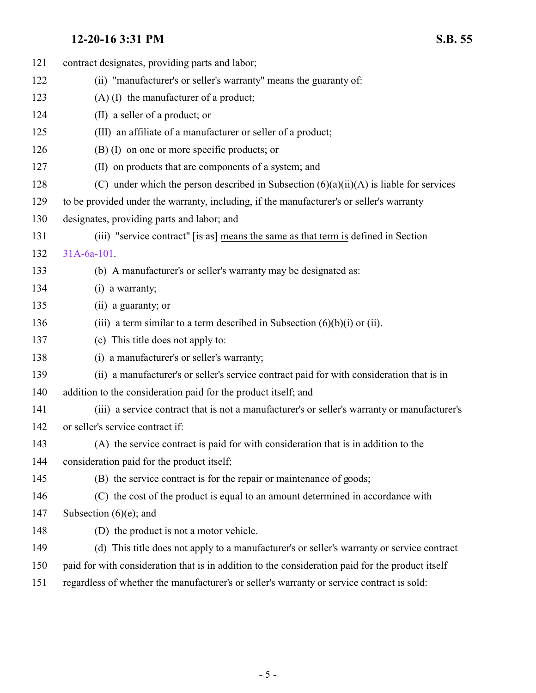| 121 | contract designates, providing parts and labor;                                                  |
|-----|--------------------------------------------------------------------------------------------------|
| 122 | (ii) "manufacturer's or seller's warranty" means the guaranty of:                                |
| 123 | $(A)$ (I) the manufacturer of a product;                                                         |
| 124 | (II) a seller of a product; or                                                                   |
| 125 | (III) an affiliate of a manufacturer or seller of a product;                                     |
| 126 | (B) (I) on one or more specific products; or                                                     |
| 127 | (II) on products that are components of a system; and                                            |
| 128 | (C) under which the person described in Subsection $(6)(a)(ii)(A)$ is liable for services        |
| 129 | to be provided under the warranty, including, if the manufacturer's or seller's warranty         |
| 130 | designates, providing parts and labor; and                                                       |
| 131 | (iii) "service contract" $[s\overline{a}s]$ means the same as that term is defined in Section    |
| 132 | $31A-6a-101$ .                                                                                   |
| 133 | (b) A manufacturer's or seller's warranty may be designated as:                                  |
| 134 | $(i)$ a warranty;                                                                                |
| 135 | (ii) a guaranty; or                                                                              |
| 136 | (iii) a term similar to a term described in Subsection $(6)(b)(i)$ or (ii).                      |
| 137 | (c) This title does not apply to:                                                                |
| 138 | (i) a manufacturer's or seller's warranty;                                                       |
| 139 | (ii) a manufacturer's or seller's service contract paid for with consideration that is in        |
| 140 | addition to the consideration paid for the product itself; and                                   |
| 141 | (iii) a service contract that is not a manufacturer's or seller's warranty or manufacturer's     |
| 142 | or seller's service contract if:                                                                 |
| 143 | (A) the service contract is paid for with consideration that is in addition to the               |
| 144 | consideration paid for the product itself;                                                       |
| 145 | (B) the service contract is for the repair or maintenance of goods;                              |
| 146 | (C) the cost of the product is equal to an amount determined in accordance with                  |
| 147 | Subsection $(6)(e)$ ; and                                                                        |
| 148 | (D) the product is not a motor vehicle.                                                          |
| 149 | (d) This title does not apply to a manufacturer's or seller's warranty or service contract       |
| 150 | paid for with consideration that is in addition to the consideration paid for the product itself |
| 151 | regardless of whether the manufacturer's or seller's warranty or service contract is sold:       |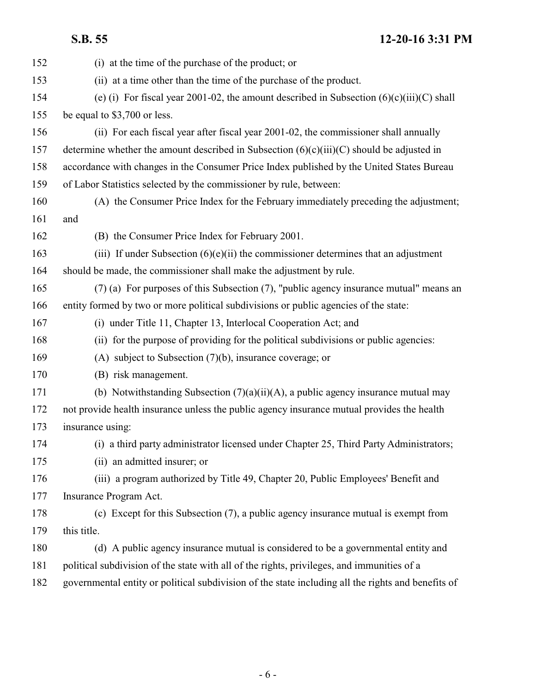**S.B. 55 12-20-16 3:31 PM**

| 152 | (i) at the time of the purchase of the product; or                                                 |
|-----|----------------------------------------------------------------------------------------------------|
| 153 | (ii) at a time other than the time of the purchase of the product.                                 |
| 154 | (e) (i) For fiscal year 2001-02, the amount described in Subsection $(6)(c)(iii)(C)$ shall         |
| 155 | be equal to \$3,700 or less.                                                                       |
| 156 | (ii) For each fiscal year after fiscal year 2001-02, the commissioner shall annually               |
| 157 | determine whether the amount described in Subsection $(6)(c)(iii)(C)$ should be adjusted in        |
| 158 | accordance with changes in the Consumer Price Index published by the United States Bureau          |
| 159 | of Labor Statistics selected by the commissioner by rule, between:                                 |
| 160 | (A) the Consumer Price Index for the February immediately preceding the adjustment;                |
| 161 | and                                                                                                |
| 162 | (B) the Consumer Price Index for February 2001.                                                    |
| 163 | (iii) If under Subsection $(6)(e)(ii)$ the commissioner determines that an adjustment              |
| 164 | should be made, the commissioner shall make the adjustment by rule.                                |
| 165 | (7) (a) For purposes of this Subsection (7), "public agency insurance mutual" means an             |
| 166 | entity formed by two or more political subdivisions or public agencies of the state:               |
| 167 | (i) under Title 11, Chapter 13, Interlocal Cooperation Act; and                                    |
| 168 | (ii) for the purpose of providing for the political subdivisions or public agencies:               |
| 169 | (A) subject to Subsection $(7)(b)$ , insurance coverage; or                                        |
| 170 | (B) risk management.                                                                               |
| 171 | (b) Notwithstanding Subsection $(7)(a)(ii)(A)$ , a public agency insurance mutual may              |
| 172 | not provide health insurance unless the public agency insurance mutual provides the health         |
| 173 | insurance using:                                                                                   |
| 174 | (i) a third party administrator licensed under Chapter 25, Third Party Administrators;             |
| 175 | (ii) an admitted insurer; or                                                                       |
| 176 | (iii) a program authorized by Title 49, Chapter 20, Public Employees' Benefit and                  |
| 177 | Insurance Program Act.                                                                             |
| 178 | (c) Except for this Subsection (7), a public agency insurance mutual is exempt from                |
| 179 | this title.                                                                                        |
| 180 | (d) A public agency insurance mutual is considered to be a governmental entity and                 |
| 181 | political subdivision of the state with all of the rights, privileges, and immunities of a         |
| 182 | governmental entity or political subdivision of the state including all the rights and benefits of |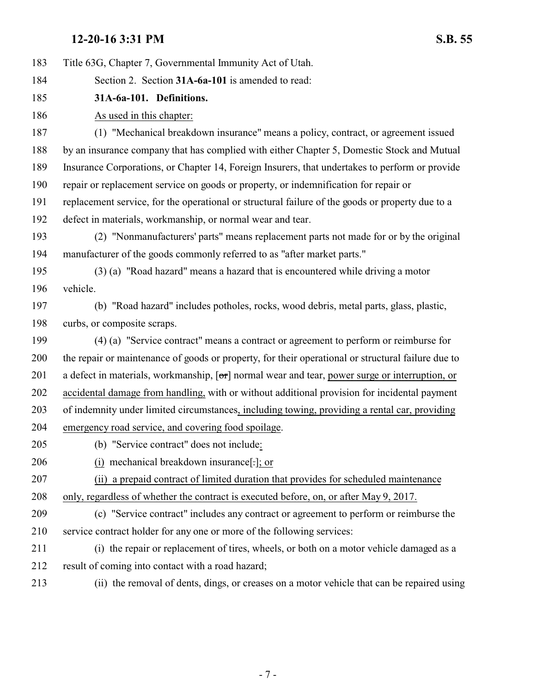<span id="page-6-0"></span>

| 183 | Title 63G, Chapter 7, Governmental Immunity Act of Utah.                                           |
|-----|----------------------------------------------------------------------------------------------------|
| 184 | Section 2. Section 31A-6a-101 is amended to read:                                                  |
| 185 | 31A-6a-101. Definitions.                                                                           |
| 186 | As used in this chapter:                                                                           |
| 187 | (1) "Mechanical breakdown insurance" means a policy, contract, or agreement issued                 |
| 188 | by an insurance company that has complied with either Chapter 5, Domestic Stock and Mutual         |
| 189 | Insurance Corporations, or Chapter 14, Foreign Insurers, that undertakes to perform or provide     |
| 190 | repair or replacement service on goods or property, or indemnification for repair or               |
| 191 | replacement service, for the operational or structural failure of the goods or property due to a   |
| 192 | defect in materials, workmanship, or normal wear and tear.                                         |
| 193 | (2) "Nonmanufacturers' parts" means replacement parts not made for or by the original              |
| 194 | manufacturer of the goods commonly referred to as "after market parts."                            |
| 195 | (3) (a) "Road hazard" means a hazard that is encountered while driving a motor                     |
| 196 | vehicle.                                                                                           |
| 197 | (b) "Road hazard" includes potholes, rocks, wood debris, metal parts, glass, plastic,              |
| 198 | curbs, or composite scraps.                                                                        |
| 199 | (4) (a) "Service contract" means a contract or agreement to perform or reimburse for               |
| 200 | the repair or maintenance of goods or property, for their operational or structural failure due to |
| 201 | a defect in materials, workmanship, [or] normal wear and tear, power surge or interruption, or     |
| 202 | accidental damage from handling, with or without additional provision for incidental payment       |
| 203 | of indemnity under limited circumstances, including towing, providing a rental car, providing      |
| 204 | emergency road service, and covering food spoilage.                                                |
| 205 | (b) "Service contract" does not include:                                                           |
| 206 | (i) mechanical breakdown insurance[.]; or                                                          |
| 207 | (ii) a prepaid contract of limited duration that provides for scheduled maintenance                |
| 208 | only, regardless of whether the contract is executed before, on, or after May 9, 2017.             |
| 209 | (c) "Service contract" includes any contract or agreement to perform or reimburse the              |
| 210 | service contract holder for any one or more of the following services:                             |
| 211 | (i) the repair or replacement of tires, wheels, or both on a motor vehicle damaged as a            |
| 212 | result of coming into contact with a road hazard;                                                  |
| 213 | (ii) the removal of dents, dings, or creases on a motor vehicle that can be repaired using         |
|     |                                                                                                    |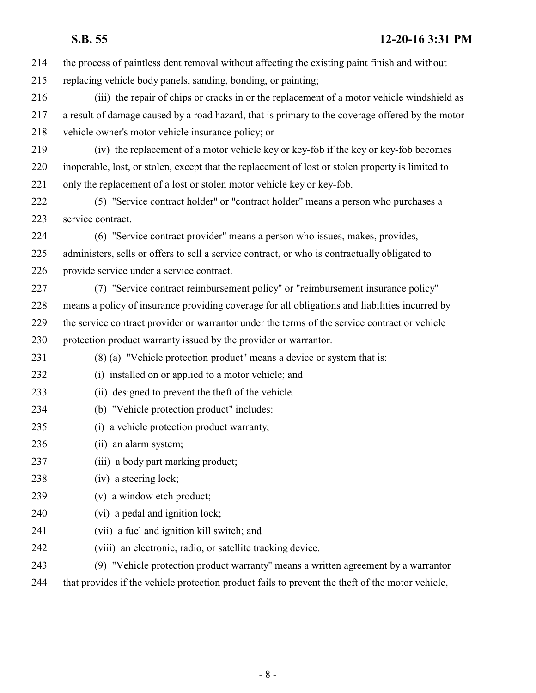## **S.B. 55 12-20-16 3:31 PM**

| 214 | the process of paintless dent removal without affecting the existing paint finish and without     |
|-----|---------------------------------------------------------------------------------------------------|
| 215 | replacing vehicle body panels, sanding, bonding, or painting;                                     |
| 216 | (iii) the repair of chips or cracks in or the replacement of a motor vehicle windshield as        |
| 217 | a result of damage caused by a road hazard, that is primary to the coverage offered by the motor  |
| 218 | vehicle owner's motor vehicle insurance policy; or                                                |
| 219 | (iv) the replacement of a motor vehicle key or key-fob if the key or key-fob becomes              |
| 220 | inoperable, lost, or stolen, except that the replacement of lost or stolen property is limited to |
| 221 | only the replacement of a lost or stolen motor vehicle key or key-fob.                            |
| 222 | (5) "Service contract holder" or "contract holder" means a person who purchases a                 |
| 223 | service contract.                                                                                 |
| 224 | (6) "Service contract provider" means a person who issues, makes, provides,                       |
| 225 | administers, sells or offers to sell a service contract, or who is contractually obligated to     |
| 226 | provide service under a service contract.                                                         |
| 227 | (7) "Service contract reimbursement policy" or "reimbursement insurance policy"                   |
| 228 | means a policy of insurance providing coverage for all obligations and liabilities incurred by    |
| 229 | the service contract provider or warrantor under the terms of the service contract or vehicle     |
| 230 | protection product warranty issued by the provider or warrantor.                                  |
| 231 | (8) (a) "Vehicle protection product" means a device or system that is:                            |
| 232 | (i) installed on or applied to a motor vehicle; and                                               |
| 233 | (ii) designed to prevent the theft of the vehicle.                                                |
| 234 | (b) "Vehicle protection product" includes:                                                        |
| 235 | (i) a vehicle protection product warranty;                                                        |
| 236 | (ii) an alarm system;                                                                             |
| 237 | (iii) a body part marking product;                                                                |
| 238 | (iv) a steering lock;                                                                             |
| 239 | (v) a window etch product;                                                                        |
| 240 | (vi) a pedal and ignition lock;                                                                   |
| 241 | (vii) a fuel and ignition kill switch; and                                                        |
| 242 | (viii) an electronic, radio, or satellite tracking device.                                        |
| 243 | (9) "Vehicle protection product warranty" means a written agreement by a warrantor                |
| 244 | that provides if the vehicle protection product fails to prevent the theft of the motor vehicle,  |
|     |                                                                                                   |